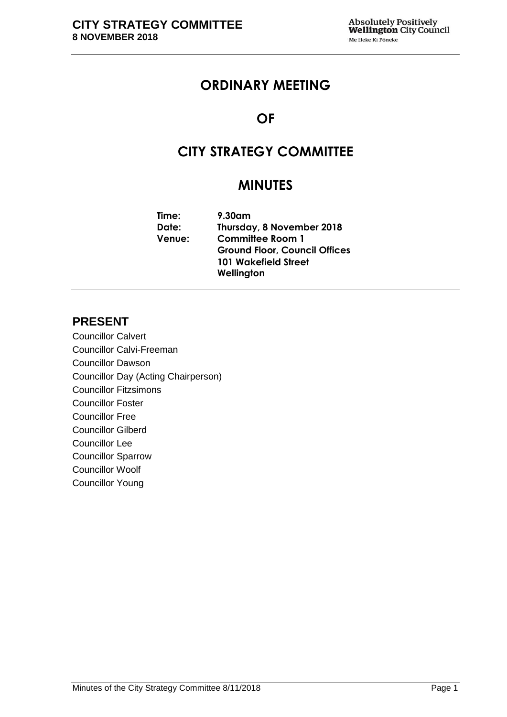# **ORDINARY MEETING**

# **OF**

# **CITY STRATEGY COMMITTEE**

# **MINUTES**

| $9.30$ am                            |
|--------------------------------------|
| Thursday, 8 November 2018            |
| <b>Committee Room 1</b>              |
| <b>Ground Floor, Council Offices</b> |
| <b>101 Wakefield Street</b>          |
| Wellington                           |
|                                      |

# **PRESENT**

Councillor Calvert Councillor Calvi-Freeman Councillor Dawson Councillor Day (Acting Chairperson) Councillor Fitzsimons Councillor Foster Councillor Free Councillor Gilberd Councillor Lee Councillor Sparrow Councillor Woolf Councillor Young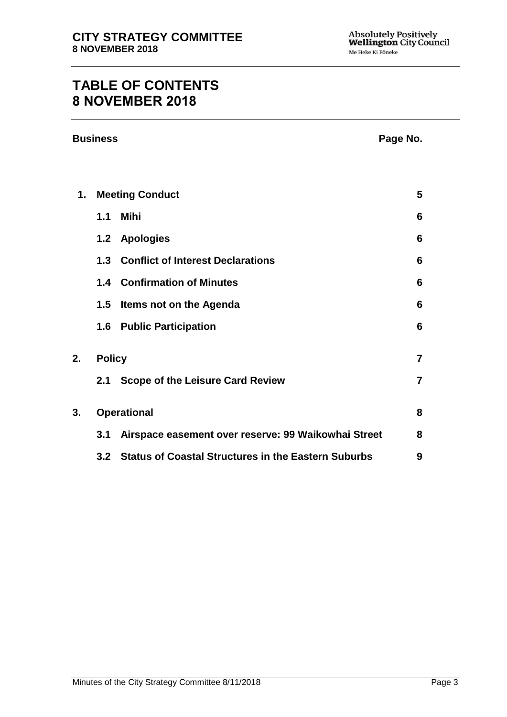# **TABLE OF CONTENTS 8 NOVEMBER 2018**

|               | <b>Business</b> |                                                            |                | Page No. |  |
|---------------|-----------------|------------------------------------------------------------|----------------|----------|--|
|               |                 |                                                            |                |          |  |
| $\mathbf 1$ . |                 | <b>Meeting Conduct</b>                                     | 5              |          |  |
|               | 1.1             | Mihi                                                       | 6              |          |  |
|               |                 | 1.2 Apologies                                              | 6              |          |  |
|               |                 | 1.3 Conflict of Interest Declarations                      | 6              |          |  |
|               |                 | <b>1.4 Confirmation of Minutes</b>                         | 6              |          |  |
|               | 1.5             | <b>Items not on the Agenda</b>                             | 6              |          |  |
|               |                 | <b>1.6 Public Participation</b>                            | 6              |          |  |
| 2.            | <b>Policy</b>   |                                                            | $\overline{7}$ |          |  |
|               |                 | 2.1 Scope of the Leisure Card Review                       | 7              |          |  |
| 3.            |                 | <b>Operational</b>                                         | 8              |          |  |
|               | 3.1             | Airspace easement over reserve: 99 Waikowhai Street        | 8              |          |  |
|               | 3.2             | <b>Status of Coastal Structures in the Eastern Suburbs</b> | 9              |          |  |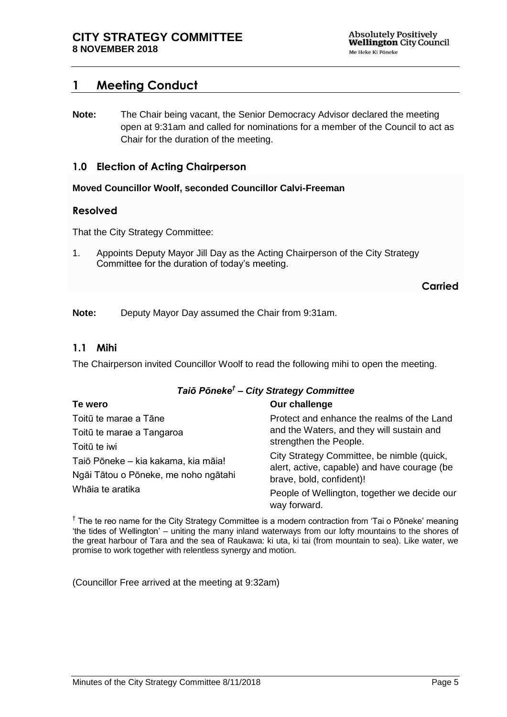# <span id="page-4-0"></span>**1 Meeting Conduct**

**Note:** The Chair being vacant, the Senior Democracy Advisor declared the meeting open at 9:31am and called for nominations for a member of the Council to act as Chair for the duration of the meeting.

# **1.0 Election of Acting Chairperson**

#### **Moved Councillor Woolf, seconded Councillor Calvi-Freeman**

## **Resolved**

That the City Strategy Committee:

1. Appoints Deputy Mayor Jill Day as the Acting Chairperson of the City Strategy Committee for the duration of today's meeting.

**Carried**

**Note:** Deputy Mayor Day assumed the Chair from 9:31am.

## **1.1 Mihi**

The Chairperson invited Councillor Woolf to read the following mihi to open the meeting.

#### *Taiō Pōneke† – City Strategy Committee*

| Te wero                                                                                                         | Our challenge                                                                              |  |
|-----------------------------------------------------------------------------------------------------------------|--------------------------------------------------------------------------------------------|--|
| Toitū te marae a Tāne                                                                                           | Protect and enhance the realms of the Land                                                 |  |
| Toitū te marae a Tangaroa                                                                                       | and the Waters, and they will sustain and<br>strengthen the People.                        |  |
| Toitū te iwi<br>Taiō Pōneke - kia kakama, kia māia!<br>Ngāi Tātou o Pōneke, me noho ngātahi<br>Whāia te aratika |                                                                                            |  |
|                                                                                                                 | City Strategy Committee, be nimble (quick,<br>alert, active, capable) and have courage (be |  |
|                                                                                                                 | brave, bold, confident)!                                                                   |  |
|                                                                                                                 | People of Wellington, together we decide our<br>way forward.                               |  |

<sup>†</sup> The te reo name for the City Strategy Committee is a modern contraction from 'Tai o Pōneke' meaning 'the tides of Wellington' – uniting the many inland waterways from our lofty mountains to the shores of the great harbour of Tara and the sea of Raukawa: ki uta, ki tai (from mountain to sea). Like water, we promise to work together with relentless synergy and motion.

(Councillor Free arrived at the meeting at 9:32am)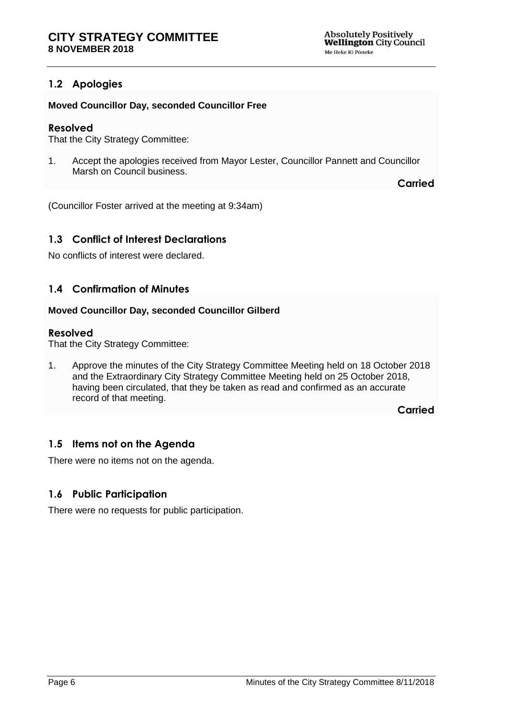# <span id="page-5-0"></span>**1.2 Apologies**

### **Moved Councillor Day, seconded Councillor Free**

### **Resolved**

That the City Strategy Committee:

1. Accept the apologies received from Mayor Lester, Councillor Pannett and Councillor Marsh on Council business.

**Carried**

(Councillor Foster arrived at the meeting at 9:34am)

# <span id="page-5-1"></span>**1.3 Conflict of Interest Declarations**

No conflicts of interest were declared.

# <span id="page-5-2"></span>**1.4 Confirmation of Minutes**

#### **Moved Councillor Day, seconded Councillor Gilberd**

#### **Resolved**

That the City Strategy Committee:

1. Approve the minutes of the City Strategy Committee Meeting held on 18 October 2018 and the Extraordinary City Strategy Committee Meeting held on 25 October 2018, having been circulated, that they be taken as read and confirmed as an accurate record of that meeting.

**Carried**

## <span id="page-5-3"></span>**1.5 Items not on the Agenda**

There were no items not on the agenda.

## <span id="page-5-4"></span>**1.6 Public Participation**

There were no requests for public participation.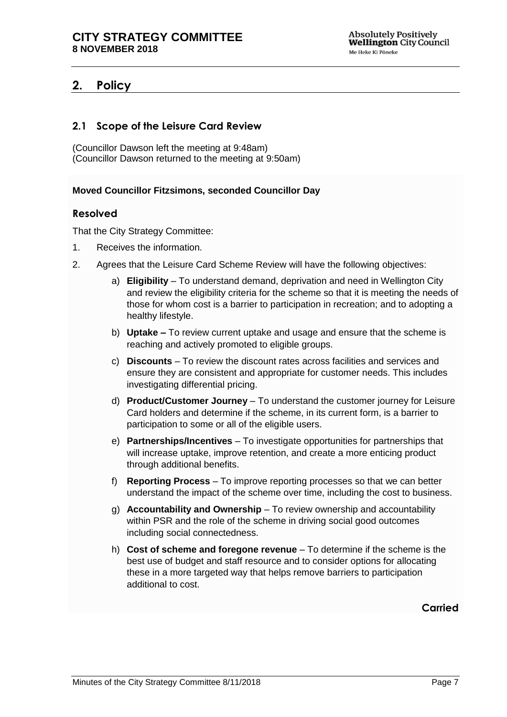# <span id="page-6-0"></span>**2. Policy**

# <span id="page-6-1"></span>**2.1 Scope of the Leisure Card Review**

(Councillor Dawson left the meeting at 9:48am) (Councillor Dawson returned to the meeting at 9:50am)

#### **Moved Councillor Fitzsimons, seconded Councillor Day**

## **Resolved**

That the City Strategy Committee:

- 1. Receives the information.
- 2. Agrees that the Leisure Card Scheme Review will have the following objectives:
	- a) **Eligibility** To understand demand, deprivation and need in Wellington City and review the eligibility criteria for the scheme so that it is meeting the needs of those for whom cost is a barrier to participation in recreation; and to adopting a healthy lifestyle.
	- b) **Uptake –** To review current uptake and usage and ensure that the scheme is reaching and actively promoted to eligible groups.
	- c) **Discounts** To review the discount rates across facilities and services and ensure they are consistent and appropriate for customer needs. This includes investigating differential pricing.
	- d) **Product/Customer Journey** To understand the customer journey for Leisure Card holders and determine if the scheme, in its current form, is a barrier to participation to some or all of the eligible users.
	- e) **Partnerships/Incentives** To investigate opportunities for partnerships that will increase uptake, improve retention, and create a more enticing product through additional benefits.
	- f) **Reporting Process** To improve reporting processes so that we can better understand the impact of the scheme over time, including the cost to business.
	- g) **Accountability and Ownership** To review ownership and accountability within PSR and the role of the scheme in driving social good outcomes including social connectedness.
	- h) **Cost of scheme and foregone revenue** To determine if the scheme is the best use of budget and staff resource and to consider options for allocating these in a more targeted way that helps remove barriers to participation additional to cost.

# **Carried**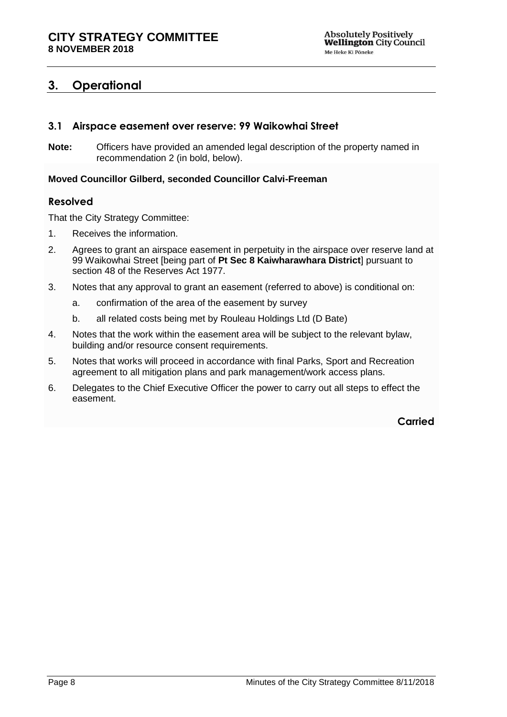# <span id="page-7-0"></span>**3. Operational**

# <span id="page-7-1"></span>**3.1 Airspace easement over reserve: 99 Waikowhai Street**

**Note:** Officers have provided an amended legal description of the property named in recommendation 2 (in bold, below).

#### **Moved Councillor Gilberd, seconded Councillor Calvi-Freeman**

## **Resolved**

That the City Strategy Committee:

- 1. Receives the information.
- 2. Agrees to grant an airspace easement in perpetuity in the airspace over reserve land at 99 Waikowhai Street [being part of **Pt Sec 8 Kaiwharawhara District**] pursuant to section 48 of the Reserves Act 1977.
- 3. Notes that any approval to grant an easement (referred to above) is conditional on:
	- a. confirmation of the area of the easement by survey
	- b. all related costs being met by Rouleau Holdings Ltd (D Bate)
- 4. Notes that the work within the easement area will be subject to the relevant bylaw, building and/or resource consent requirements.
- 5. Notes that works will proceed in accordance with final Parks, Sport and Recreation agreement to all mitigation plans and park management/work access plans.
- 6. Delegates to the Chief Executive Officer the power to carry out all steps to effect the easement.

**Carried**